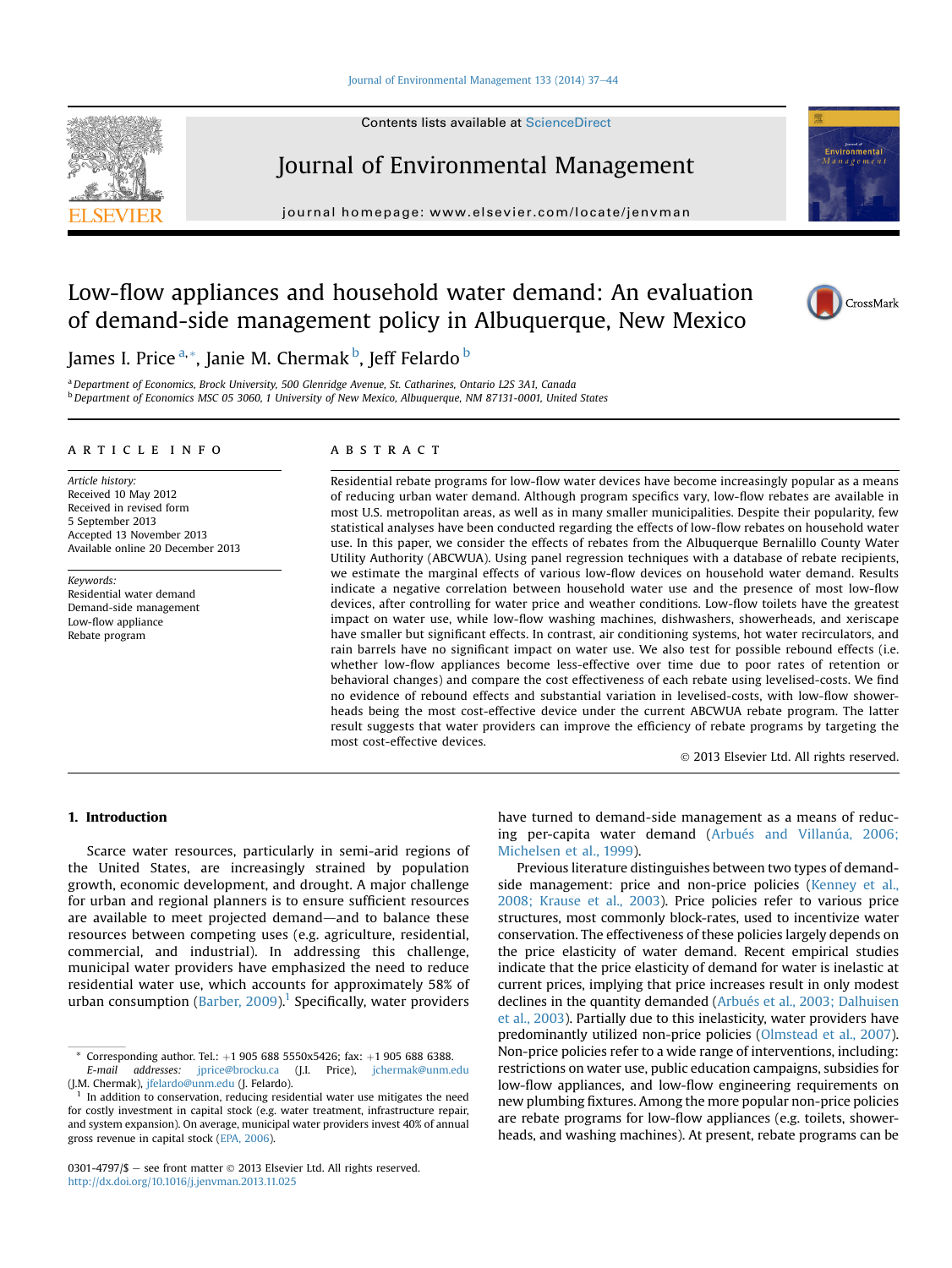## [Journal of Environmental Management 133 \(2014\) 37](http://dx.doi.org/10.1016/j.jenvman.2013.11.025)-[44](http://dx.doi.org/10.1016/j.jenvman.2013.11.025)

Contents lists available at ScienceDirect



Journal of Environmental Management

journal homepage: [www.elsevier.com/locate/jenvman](http://www.elsevier.com/locate/jenvman)



## Low-flow appliances and household water demand: An evaluation of demand-side management policy in Albuquerque, New Mexico



James I. Price <sup>a, \*</sup>, Janie M. Chermak <sup>b</sup>, Jeff Felardo <sup>b</sup>

<sup>a</sup> Department of Economics, Brock University, 500 Glenridge Avenue, St. Catharines, Ontario L2S 3A1, Canada <sup>b</sup> Department of Economics MSC 05 3060, 1 University of New Mexico, Albuquerque, NM 87131-0001, United States

## article info

Article history: Received 10 May 2012 Received in revised form 5 September 2013 Accepted 13 November 2013 Available online 20 December 2013

Keywords: Residential water demand Demand-side management Low-flow appliance Rebate program

## ABSTRACT

Residential rebate programs for low-flow water devices have become increasingly popular as a means of reducing urban water demand. Although program specifics vary, low-flow rebates are available in most U.S. metropolitan areas, as well as in many smaller municipalities. Despite their popularity, few statistical analyses have been conducted regarding the effects of low-flow rebates on household water use. In this paper, we consider the effects of rebates from the Albuquerque Bernalillo County Water Utility Authority (ABCWUA). Using panel regression techniques with a database of rebate recipients, we estimate the marginal effects of various low-flow devices on household water demand. Results indicate a negative correlation between household water use and the presence of most low-flow devices, after controlling for water price and weather conditions. Low-flow toilets have the greatest impact on water use, while low-flow washing machines, dishwashers, showerheads, and xeriscape have smaller but significant effects. In contrast, air conditioning systems, hot water recirculators, and rain barrels have no significant impact on water use. We also test for possible rebound effects (i.e. whether low-flow appliances become less-effective over time due to poor rates of retention or behavioral changes) and compare the cost effectiveness of each rebate using levelised-costs. We find no evidence of rebound effects and substantial variation in levelised-costs, with low-flow showerheads being the most cost-effective device under the current ABCWUA rebate program. The latter result suggests that water providers can improve the efficiency of rebate programs by targeting the most cost-effective devices.

2013 Elsevier Ltd. All rights reserved.

## 1. Introduction

Scarce water resources, particularly in semi-arid regions of the United States, are increasingly strained by population growth, economic development, and drought. A major challenge for urban and regional planners is to ensure sufficient resources are available to meet projected demand—and to balance these resources between competing uses (e.g. agriculture, residential, commercial, and industrial). In addressing this challenge, municipal water providers have emphasized the need to reduce residential water use, which accounts for approximately 58% of urban consumption (Barber,  $2009$ ).<sup>1</sup> Specifically, water providers

have turned to demand-side management as a means of reducing per-capita water demand [\(Arbués and Villanúa, 2006;](#page--1-0) [Michelsen et al., 1999](#page--1-0)).

Previous literature distinguishes between two types of demand-side management: price and non-price policies ([Kenney et al.,](#page--1-0) [2008; Krause et al., 2003](#page--1-0)). Price policies refer to various price structures, most commonly block-rates, used to incentivize water conservation. The effectiveness of these policies largely depends on the price elasticity of water demand. Recent empirical studies indicate that the price elasticity of demand for water is inelastic at current prices, implying that price increases result in only modest declines in the quantity demanded [\(Arbués et al., 2003; Dalhuisen](#page--1-0) [et al., 2003](#page--1-0)). Partially due to this inelasticity, water providers have predominantly utilized non-price policies [\(Olmstead et al., 2007\)](#page--1-0). Non-price policies refer to a wide range of interventions, including: restrictions on water use, public education campaigns, subsidies for low-flow appliances, and low-flow engineering requirements on new plumbing fixtures. Among the more popular non-price policies are rebate programs for low-flow appliances (e.g. toilets, showerheads, and washing machines). At present, rebate programs can be

Corresponding author. Tel.:  $+1$  905 688 5550x5426; fax:  $+1$  905 688 6388. E-mail addresses: [jprice@brocku.ca](mailto:jprice@brocku.ca) (J.I. Price), [jchermak@unm.edu](mailto:jchermak@unm.edu) (J.M. Chermak), [jfelardo@unm.edu](mailto:jfelardo@unm.edu) (J. Felardo).

In addition to conservation, reducing residential water use mitigates the need for costly investment in capital stock (e.g. water treatment, infrastructure repair, and system expansion). On average, municipal water providers invest 40% of annual gross revenue in capital stock ([EPA, 2006\)](#page--1-0).

<sup>0301-4797/\$ -</sup> see front matter  $\odot$  2013 Elsevier Ltd. All rights reserved. <http://dx.doi.org/10.1016/j.jenvman.2013.11.025>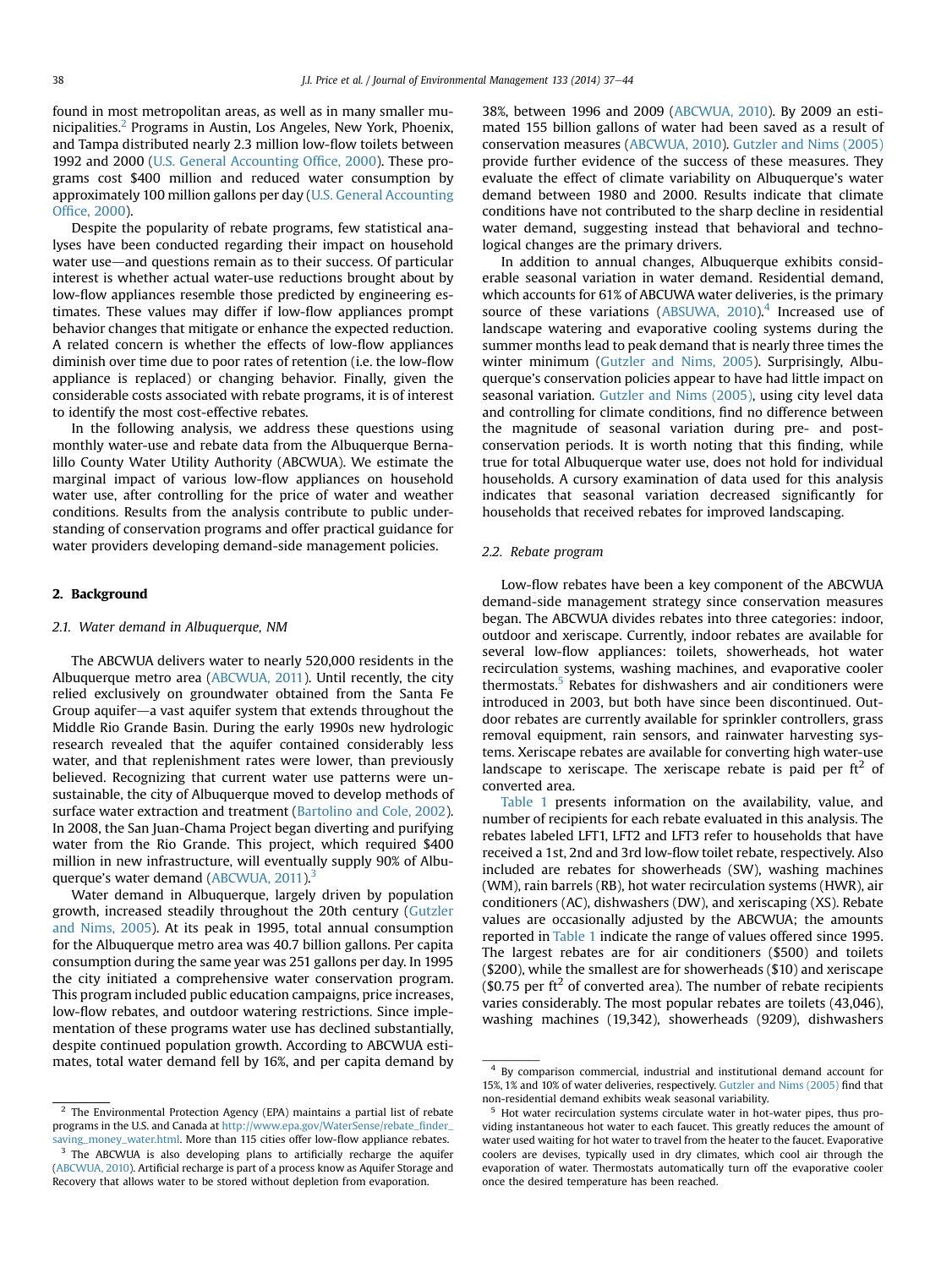found in most metropolitan areas, as well as in many smaller municipalities.2 Programs in Austin, Los Angeles, New York, Phoenix, and Tampa distributed nearly 2.3 million low-flow toilets between 1992 and 2000 ([U.S. General Accounting Of](#page--1-0)fice, 2000). These programs cost \$400 million and reduced water consumption by approximately 100 million gallons per day ([U.S. General Accounting](#page--1-0) Offi[ce, 2000\)](#page--1-0).

Despite the popularity of rebate programs, few statistical analyses have been conducted regarding their impact on household water use—and questions remain as to their success. Of particular interest is whether actual water-use reductions brought about by low-flow appliances resemble those predicted by engineering estimates. These values may differ if low-flow appliances prompt behavior changes that mitigate or enhance the expected reduction. A related concern is whether the effects of low-flow appliances diminish over time due to poor rates of retention (i.e. the low-flow appliance is replaced) or changing behavior. Finally, given the considerable costs associated with rebate programs, it is of interest to identify the most cost-effective rebates.

In the following analysis, we address these questions using monthly water-use and rebate data from the Albuquerque Bernalillo County Water Utility Authority (ABCWUA). We estimate the marginal impact of various low-flow appliances on household water use, after controlling for the price of water and weather conditions. Results from the analysis contribute to public understanding of conservation programs and offer practical guidance for water providers developing demand-side management policies.

## 2. Background

## 2.1. Water demand in Albuquerque, NM

The ABCWUA delivers water to nearly 520,000 residents in the Albuquerque metro area [\(ABCWUA, 2011](#page--1-0)). Until recently, the city relied exclusively on groundwater obtained from the Santa Fe Group aquifer-a vast aquifer system that extends throughout the Middle Rio Grande Basin. During the early 1990s new hydrologic research revealed that the aquifer contained considerably less water, and that replenishment rates were lower, than previously believed. Recognizing that current water use patterns were unsustainable, the city of Albuquerque moved to develop methods of surface water extraction and treatment ([Bartolino and Cole, 2002\)](#page--1-0). In 2008, the San Juan-Chama Project began diverting and purifying water from the Rio Grande. This project, which required \$400 million in new infrastructure, will eventually supply 90% of Albu-querque's water demand [\(ABCWUA, 2011\)](#page--1-0).<sup>3</sup>

Water demand in Albuquerque, largely driven by population growth, increased steadily throughout the 20th century [\(Gutzler](#page--1-0) [and Nims, 2005\)](#page--1-0). At its peak in 1995, total annual consumption for the Albuquerque metro area was 40.7 billion gallons. Per capita consumption during the same year was 251 gallons per day. In 1995 the city initiated a comprehensive water conservation program. This program included public education campaigns, price increases, low-flow rebates, and outdoor watering restrictions. Since implementation of these programs water use has declined substantially, despite continued population growth. According to ABCWUA estimates, total water demand fell by 16%, and per capita demand by 38%, between 1996 and 2009 [\(ABCWUA, 2010](#page--1-0)). By 2009 an estimated 155 billion gallons of water had been saved as a result of conservation measures ([ABCWUA, 2010\)](#page--1-0). [Gutzler and Nims \(2005\)](#page--1-0) provide further evidence of the success of these measures. They evaluate the effect of climate variability on Albuquerque's water demand between 1980 and 2000. Results indicate that climate conditions have not contributed to the sharp decline in residential water demand, suggesting instead that behavioral and technological changes are the primary drivers.

In addition to annual changes, Albuquerque exhibits considerable seasonal variation in water demand. Residential demand, which accounts for 61% of ABCUWA water deliveries, is the primary source of these variations ( $ABSUMA$ ,  $2010$ ).<sup>4</sup> Increased use of landscape watering and evaporative cooling systems during the summer months lead to peak demand that is nearly three times the winter minimum ([Gutzler and Nims, 2005](#page--1-0)). Surprisingly, Albuquerque's conservation policies appear to have had little impact on seasonal variation. [Gutzler and Nims \(2005\),](#page--1-0) using city level data and controlling for climate conditions, find no difference between the magnitude of seasonal variation during pre- and postconservation periods. It is worth noting that this finding, while true for total Albuquerque water use, does not hold for individual households. A cursory examination of data used for this analysis indicates that seasonal variation decreased significantly for households that received rebates for improved landscaping.

#### 2.2. Rebate program

Low-flow rebates have been a key component of the ABCWUA demand-side management strategy since conservation measures began. The ABCWUA divides rebates into three categories: indoor, outdoor and xeriscape. Currently, indoor rebates are available for several low-flow appliances: toilets, showerheads, hot water recirculation systems, washing machines, and evaporative cooler thermostats.<sup>5</sup> Rebates for dishwashers and air conditioners were introduced in 2003, but both have since been discontinued. Outdoor rebates are currently available for sprinkler controllers, grass removal equipment, rain sensors, and rainwater harvesting systems. Xeriscape rebates are available for converting high water-use landscape to xeriscape. The xeriscape rebate is paid per  $ft^2$  of converted area.

[Table 1](#page--1-0) presents information on the availability, value, and number of recipients for each rebate evaluated in this analysis. The rebates labeled LFT1, LFT2 and LFT3 refer to households that have received a 1st, 2nd and 3rd low-flow toilet rebate, respectively. Also included are rebates for showerheads (SW), washing machines (WM), rain barrels (RB), hot water recirculation systems (HWR), air conditioners (AC), dishwashers (DW), and xeriscaping (XS). Rebate values are occasionally adjusted by the ABCWUA; the amounts reported in [Table 1](#page--1-0) indicate the range of values offered since 1995. The largest rebates are for air conditioners (\$500) and toilets (\$200), while the smallest are for showerheads (\$10) and xeriscape (\$0.75 per ft<sup>2</sup> of converted area). The number of rebate recipients varies considerably. The most popular rebates are toilets (43,046), washing machines (19,342), showerheads (9209), dishwashers

 $2$  The Environmental Protection Agency (EPA) maintains a partial list of rebate programs in the U.S. and Canada at [http://www.epa.gov/WaterSense/rebate\\_](http://www.epa.gov/WaterSense/rebate_finder_saving_money_water.html)finder\_

[saving\\_money\\_water.html](http://www.epa.gov/WaterSense/rebate_finder_saving_money_water.html). More than 115 cities offer low-flow appliance rebates. <sup>3</sup> The ABCWUA is also developing plans to artificially recharge the aquifer [\(ABCWUA, 2010\)](#page--1-0). Artificial recharge is part of a process know as Aquifer Storage and Recovery that allows water to be stored without depletion from evaporation.

<sup>4</sup> By comparison commercial, industrial and institutional demand account for 15%, 1% and 10% of water deliveries, respectively. [Gutzler and Nims \(2005\)](#page--1-0) find that non-residential demand exhibits weak seasonal variability.

<sup>5</sup> Hot water recirculation systems circulate water in hot-water pipes, thus providing instantaneous hot water to each faucet. This greatly reduces the amount of water used waiting for hot water to travel from the heater to the faucet. Evaporative coolers are devises, typically used in dry climates, which cool air through the evaporation of water. Thermostats automatically turn off the evaporative cooler once the desired temperature has been reached.